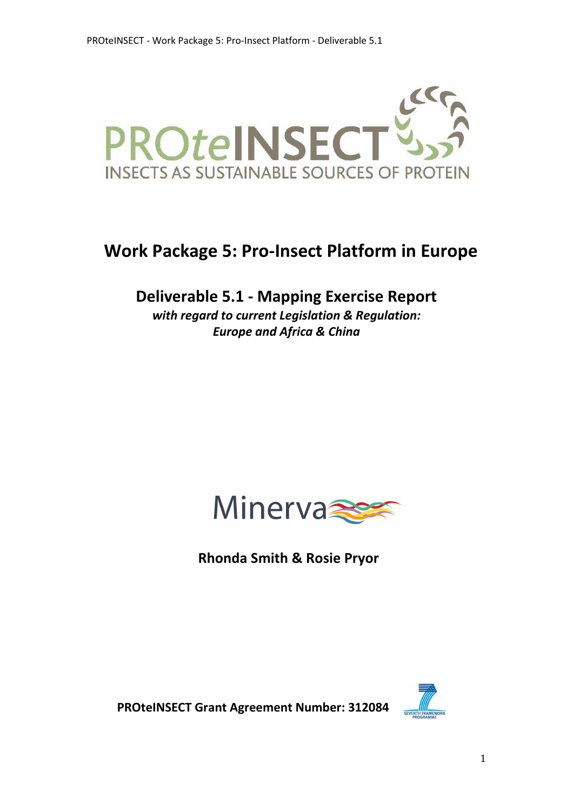

# **Work Package 5: Pro-Insect Platform in Europe**

**Deliverable 5.1 - Mapping Exercise Report**

*with regard to current Legislation & Regulation: Europe and Africa & China*



 **Rhonda Smith & Rosie Pryor** 



 **PROteINSECT Grant Agreement Number: 312084**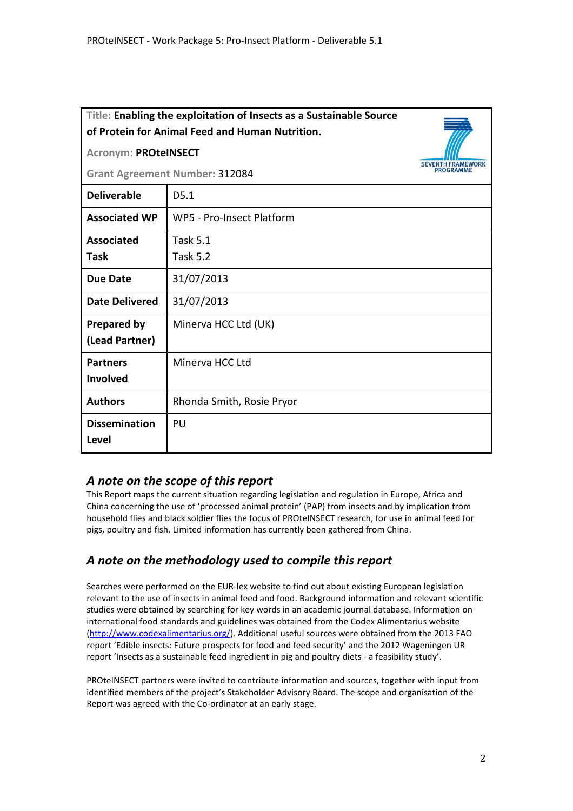| Title: Enabling the exploitation of Insects as a Sustainable Source<br>of Protein for Animal Feed and Human Nutrition. |                           |           |
|------------------------------------------------------------------------------------------------------------------------|---------------------------|-----------|
| <b>Acronym: PROteINSECT</b>                                                                                            |                           |           |
| <b>Grant Agreement Number: 312084</b>                                                                                  |                           | PROGRAMME |
| <b>Deliverable</b>                                                                                                     | D <sub>5.1</sub>          |           |
| <b>Associated WP</b>                                                                                                   | WP5 - Pro-Insect Platform |           |
| <b>Associated</b>                                                                                                      | <b>Task 5.1</b>           |           |
| Task                                                                                                                   | <b>Task 5.2</b>           |           |
| <b>Due Date</b>                                                                                                        | 31/07/2013                |           |
| <b>Date Delivered</b>                                                                                                  | 31/07/2013                |           |
| <b>Prepared by</b>                                                                                                     | Minerva HCC Ltd (UK)      |           |
| (Lead Partner)                                                                                                         |                           |           |
| <b>Partners</b>                                                                                                        | Minerva HCC Ltd           |           |
| <b>Involved</b>                                                                                                        |                           |           |
| <b>Authors</b>                                                                                                         | Rhonda Smith, Rosie Pryor |           |
| <b>Dissemination</b>                                                                                                   | PU                        |           |
| <b>Level</b>                                                                                                           |                           |           |

#### *A note on the scope of this report*

This Report maps the current situation regarding legislation and regulation in Europe, Africa and China concerning the use of 'processed animal protein' (PAP) from insects and by implication from household flies and black soldier flies the focus of PROteINSECT research, for use in animal feed for pigs, poultry and fish. Limited information has currently been gathered from China.

### *A note on the methodology used to compile this report*

Searches were performed on the EUR-lex website to find out about existing European legislation relevant to the use of insects in animal feed and food. Background information and relevant scientific studies were obtained by searching for key words in an academic journal database. Information on international food standards and guidelines was obtained from the Codex Alimentarius website (http://www.codexalimentarius.org/). Additional useful sources were obtained from the 2013 FAO report 'Edible insects: Future prospects for food and feed security' and the 2012 Wageningen UR report 'Insects as a sustainable feed ingredient in pig and poultry diets - a feasibility study'.

PROteINSECT partners were invited to contribute information and sources, together with input from identified members of the project's Stakeholder Advisory Board. The scope and organisation of the Report was agreed with the Co-ordinator at an early stage.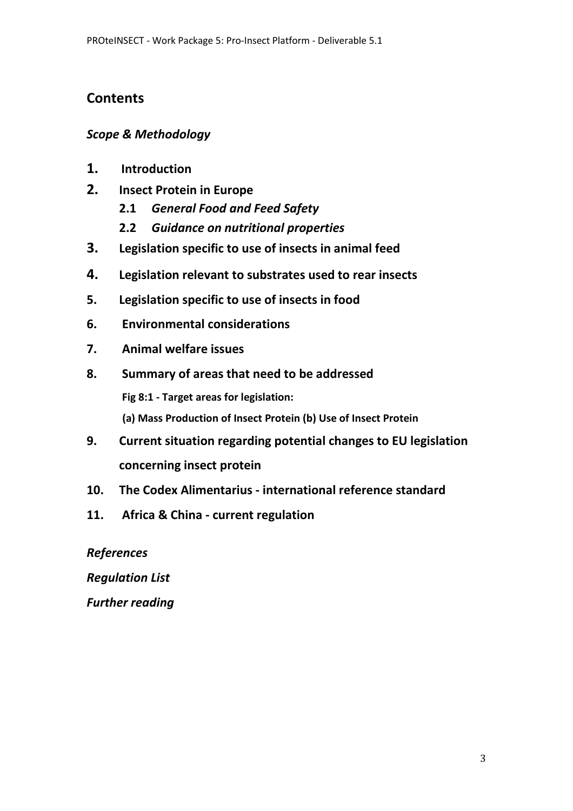# **Contents**

### *Scope & Methodology*

- **1. Introduction**
- **2. Insect Protein in Europe**
	- **2.1** *General Food and Feed Safety*
	- **2.2** *Guidance on nutritional properties*
- **3. Legislation specific to use of insects in animal feed**
- **4. Legislation relevant to substrates used to rear insects**
- **5. Legislation specific to use of insects in food**
- **6. Environmental considerations**
- **7. Animal welfare issues**
- **8. Summary of areas that need to be addressed Fig 8:1 - Target areas for legislation: (a) Mass Production of Insect Protein (b) Use of Insect Protein**
- **9. Current situation regarding potential changes to EU legislation concerning insect protein**
- **10. The Codex Alimentarius international reference standard**
- **11. Africa & China current regulation**

*References* 

*Regulation List* 

*Further reading*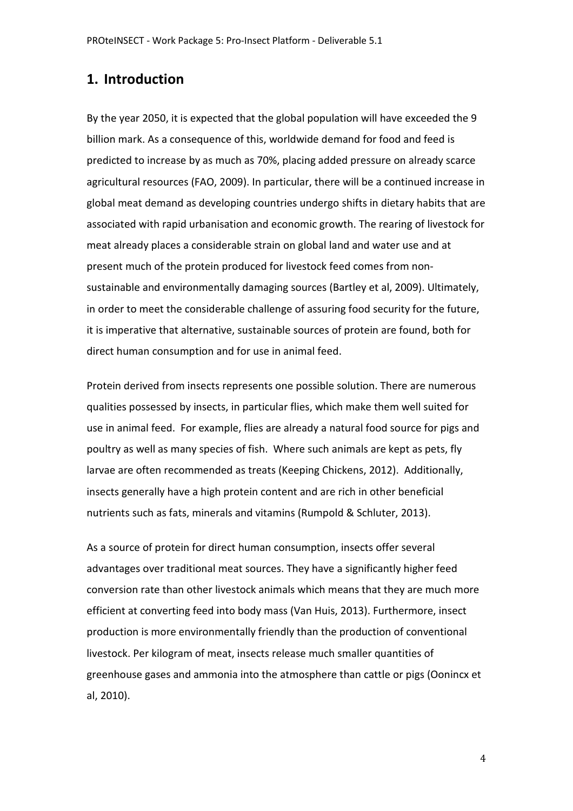### **1. Introduction**

By the year 2050, it is expected that the global population will have exceeded the 9 billion mark. As a consequence of this, worldwide demand for food and feed is predicted to increase by as much as 70%, placing added pressure on already scarce agricultural resources (FAO, 2009). In particular, there will be a continued increase in global meat demand as developing countries undergo shifts in dietary habits that are associated with rapid urbanisation and economic growth. The rearing of livestock for meat already places a considerable strain on global land and water use and at present much of the protein produced for livestock feed comes from nonsustainable and environmentally damaging sources (Bartley et al, 2009). Ultimately, in order to meet the considerable challenge of assuring food security for the future, it is imperative that alternative, sustainable sources of protein are found, both for direct human consumption and for use in animal feed.

Protein derived from insects represents one possible solution. There are numerous qualities possessed by insects, in particular flies, which make them well suited for use in animal feed. For example, flies are already a natural food source for pigs and poultry as well as many species of fish. Where such animals are kept as pets, fly larvae are often recommended as treats (Keeping Chickens, 2012). Additionally, insects generally have a high protein content and are rich in other beneficial nutrients such as fats, minerals and vitamins (Rumpold & Schluter, 2013).

As a source of protein for direct human consumption, insects offer several advantages over traditional meat sources. They have a significantly higher feed conversion rate than other livestock animals which means that they are much more efficient at converting feed into body mass (Van Huis, 2013). Furthermore, insect production is more environmentally friendly than the production of conventional livestock. Per kilogram of meat, insects release much smaller quantities of greenhouse gases and ammonia into the atmosphere than cattle or pigs (Oonincx et al, 2010).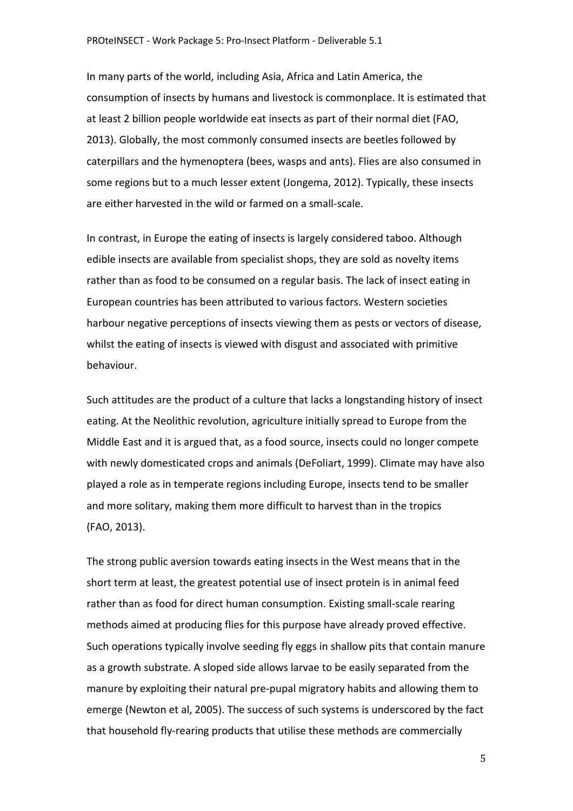In many parts of the world, including Asia, Africa and Latin America, the consumption of insects by humans and livestock is commonplace. It is estimated that at least 2 billion people worldwide eat insects as part of their normal diet (FAO, 2013). Globally, the most commonly consumed insects are beetles followed by caterpillars and the hymenoptera (bees, wasps and ants). Flies are also consumed in some regions but to a much lesser extent (Jongema, 2012). Typically, these insects are either harvested in the wild or farmed on a small-scale.

In contrast, in Europe the eating of insects is largely considered taboo. Although edible insects are available from specialist shops, they are sold as novelty items rather than as food to be consumed on a regular basis. The lack of insect eating in European countries has been attributed to various factors. Western societies harbour negative perceptions of insects viewing them as pests or vectors of disease, whilst the eating of insects is viewed with disgust and associated with primitive behaviour.

Such attitudes are the product of a culture that lacks a longstanding history of insect eating. At the Neolithic revolution, agriculture initially spread to Europe from the Middle East and it is argued that, as a food source, insects could no longer compete with newly domesticated crops and animals (DeFoliart, 1999). Climate may have also played a role as in temperate regions including Europe, insects tend to be smaller and more solitary, making them more difficult to harvest than in the tropics (FAO, 2013).

The strong public aversion towards eating insects in the West means that in the short term at least, the greatest potential use of insect protein is in animal feed rather than as food for direct human consumption. Existing small-scale rearing methods aimed at producing flies for this purpose have already proved effective. Such operations typically involve seeding fly eggs in shallow pits that contain manure as a growth substrate. A sloped side allows larvae to be easily separated from the manure by exploiting their natural pre-pupal migratory habits and allowing them to emerge (Newton et al, 2005). The success of such systems is underscored by the fact that household fly-rearing products that utilise these methods are commercially

5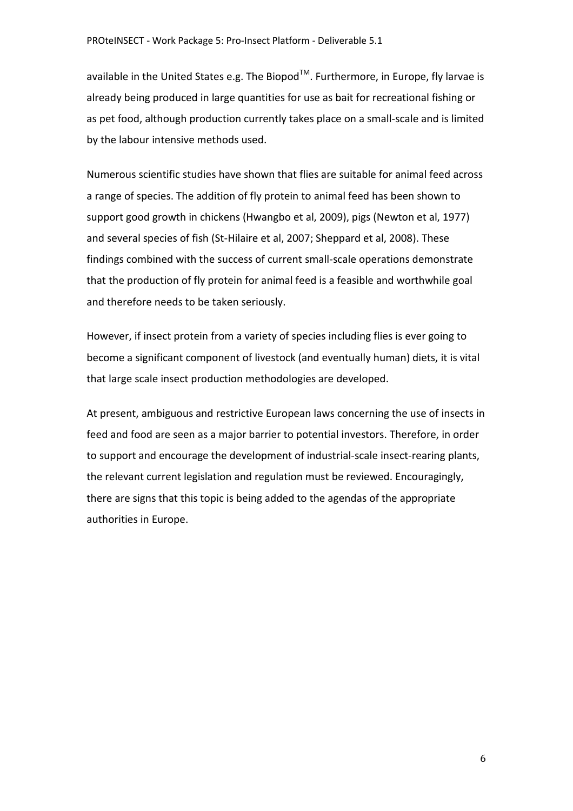available in the United States e.g. The Biopod<sup>TM</sup>. Furthermore, in Europe, fly larvae is already being produced in large quantities for use as bait for recreational fishing or as pet food, although production currently takes place on a small-scale and is limited by the labour intensive methods used.

Numerous scientific studies have shown that flies are suitable for animal feed across a range of species. The addition of fly protein to animal feed has been shown to support good growth in chickens (Hwangbo et al, 2009), pigs (Newton et al, 1977) and several species of fish (St-Hilaire et al, 2007; Sheppard et al, 2008). These findings combined with the success of current small-scale operations demonstrate that the production of fly protein for animal feed is a feasible and worthwhile goal and therefore needs to be taken seriously.

However, if insect protein from a variety of species including flies is ever going to become a significant component of livestock (and eventually human) diets, it is vital that large scale insect production methodologies are developed.

At present, ambiguous and restrictive European laws concerning the use of insects in feed and food are seen as a major barrier to potential investors. Therefore, in order to support and encourage the development of industrial-scale insect-rearing plants, the relevant current legislation and regulation must be reviewed. Encouragingly, there are signs that this topic is being added to the agendas of the appropriate authorities in Europe.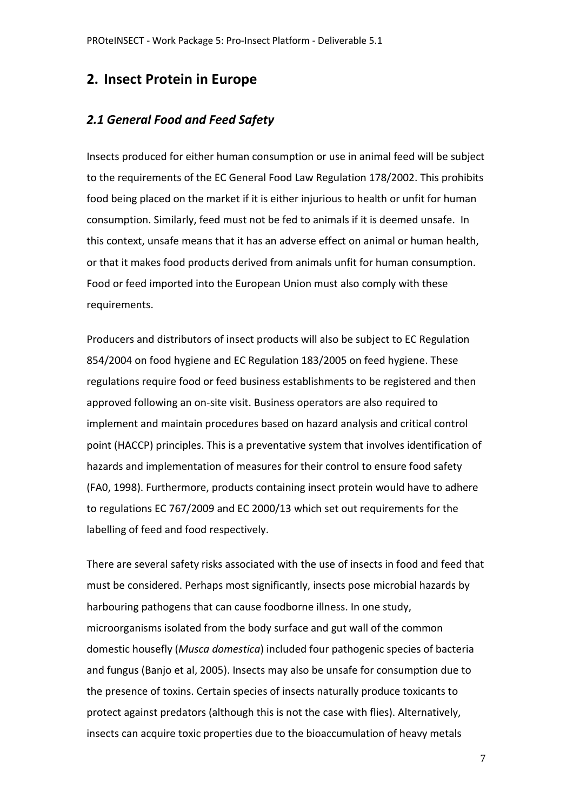### **2. Insect Protein in Europe**

#### *2.1 General Food and Feed Safety*

Insects produced for either human consumption or use in animal feed will be subject to the requirements of the EC General Food Law Regulation 178/2002. This prohibits food being placed on the market if it is either injurious to health or unfit for human consumption. Similarly, feed must not be fed to animals if it is deemed unsafe. In this context, unsafe means that it has an adverse effect on animal or human health, or that it makes food products derived from animals unfit for human consumption. Food or feed imported into the European Union must also comply with these requirements.

Producers and distributors of insect products will also be subject to EC Regulation 854/2004 on food hygiene and EC Regulation 183/2005 on feed hygiene. These regulations require food or feed business establishments to be registered and then approved following an on-site visit. Business operators are also required to implement and maintain procedures based on hazard analysis and critical control point (HACCP) principles. This is a preventative system that involves identification of hazards and implementation of measures for their control to ensure food safety (FA0, 1998). Furthermore, products containing insect protein would have to adhere to regulations EC 767/2009 and EC 2000/13 which set out requirements for the labelling of feed and food respectively.

There are several safety risks associated with the use of insects in food and feed that must be considered. Perhaps most significantly, insects pose microbial hazards by harbouring pathogens that can cause foodborne illness. In one study, microorganisms isolated from the body surface and gut wall of the common domestic housefly (*Musca domestica*) included four pathogenic species of bacteria and fungus (Banjo et al, 2005). Insects may also be unsafe for consumption due to the presence of toxins. Certain species of insects naturally produce toxicants to protect against predators (although this is not the case with flies). Alternatively, insects can acquire toxic properties due to the bioaccumulation of heavy metals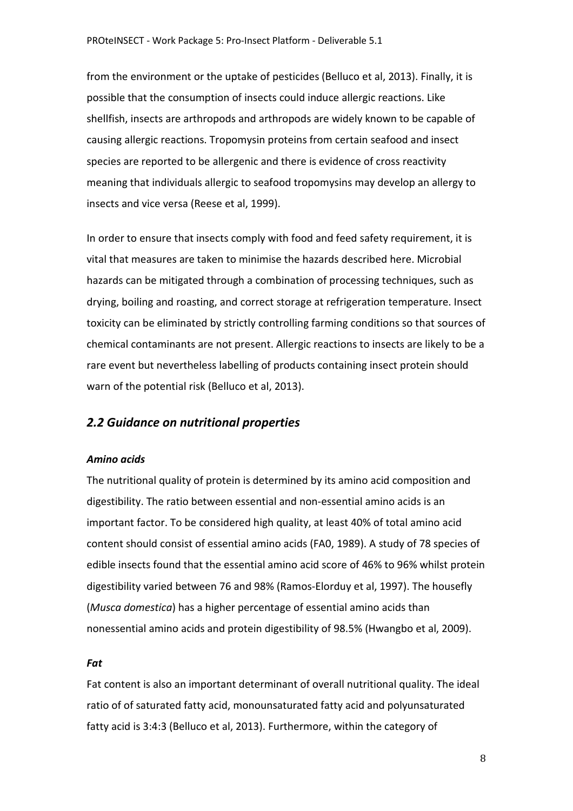from the environment or the uptake of pesticides (Belluco et al, 2013). Finally, it is possible that the consumption of insects could induce allergic reactions. Like shellfish, insects are arthropods and arthropods are widely known to be capable of causing allergic reactions. Tropomysin proteins from certain seafood and insect species are reported to be allergenic and there is evidence of cross reactivity meaning that individuals allergic to seafood tropomysins may develop an allergy to insects and vice versa (Reese et al, 1999).

In order to ensure that insects comply with food and feed safety requirement, it is vital that measures are taken to minimise the hazards described here. Microbial hazards can be mitigated through a combination of processing techniques, such as drying, boiling and roasting, and correct storage at refrigeration temperature. Insect toxicity can be eliminated by strictly controlling farming conditions so that sources of chemical contaminants are not present. Allergic reactions to insects are likely to be a rare event but nevertheless labelling of products containing insect protein should warn of the potential risk (Belluco et al, 2013).

#### *2.2 Guidance on nutritional properties*

#### *Amino acids*

The nutritional quality of protein is determined by its amino acid composition and digestibility. The ratio between essential and non-essential amino acids is an important factor. To be considered high quality, at least 40% of total amino acid content should consist of essential amino acids (FA0, 1989). A study of 78 species of edible insects found that the essential amino acid score of 46% to 96% whilst protein digestibility varied between 76 and 98% (Ramos-Elorduy et al, 1997). The housefly (*Musca domestica*) has a higher percentage of essential amino acids than nonessential amino acids and protein digestibility of 98.5% (Hwangbo et al, 2009).

#### *Fat*

Fat content is also an important determinant of overall nutritional quality. The ideal ratio of of saturated fatty acid, monounsaturated fatty acid and polyunsaturated fatty acid is 3:4:3 (Belluco et al, 2013). Furthermore, within the category of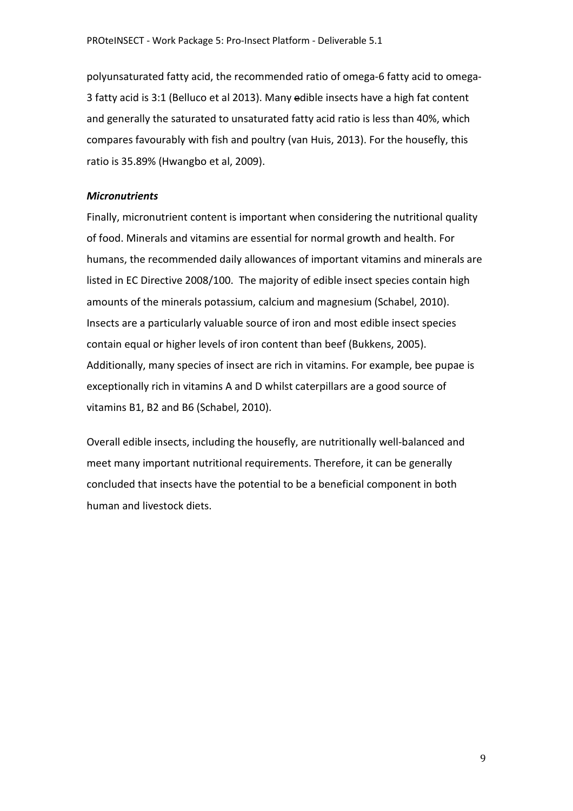polyunsaturated fatty acid, the recommended ratio of omega-6 fatty acid to omega-3 fatty acid is 3:1 (Belluco et al 2013). Many edible insects have a high fat content and generally the saturated to unsaturated fatty acid ratio is less than 40%, which compares favourably with fish and poultry (van Huis, 2013). For the housefly, this ratio is 35.89% (Hwangbo et al, 2009).

#### *Micronutrients*

Finally, micronutrient content is important when considering the nutritional quality of food. Minerals and vitamins are essential for normal growth and health. For humans, the recommended daily allowances of important vitamins and minerals are listed in EC Directive 2008/100. The majority of edible insect species contain high amounts of the minerals potassium, calcium and magnesium (Schabel, 2010). Insects are a particularly valuable source of iron and most edible insect species contain equal or higher levels of iron content than beef (Bukkens, 2005). Additionally, many species of insect are rich in vitamins. For example, bee pupae is exceptionally rich in vitamins A and D whilst caterpillars are a good source of vitamins B1, B2 and B6 (Schabel, 2010).

Overall edible insects, including the housefly, are nutritionally well-balanced and meet many important nutritional requirements. Therefore, it can be generally concluded that insects have the potential to be a beneficial component in both human and livestock diets.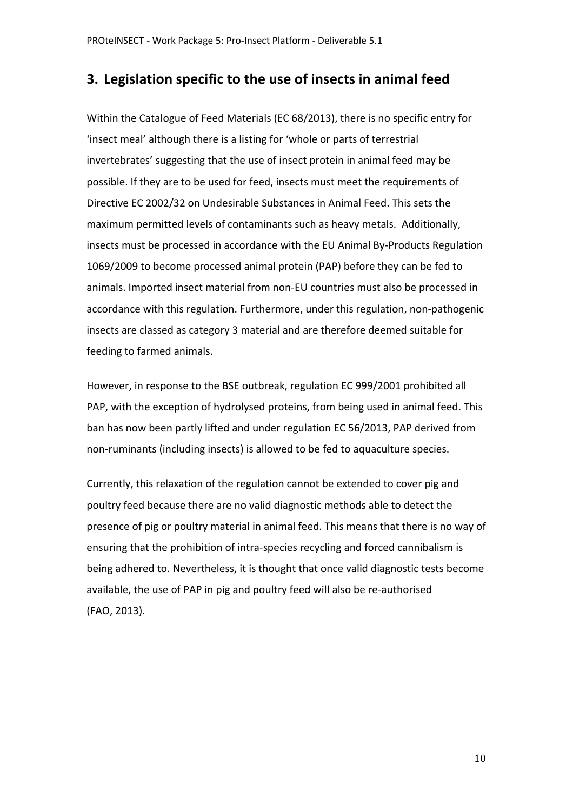### **3. Legislation specific to the use of insects in animal feed**

Within the Catalogue of Feed Materials (EC 68/2013), there is no specific entry for 'insect meal' although there is a listing for 'whole or parts of terrestrial invertebrates' suggesting that the use of insect protein in animal feed may be possible. If they are to be used for feed, insects must meet the requirements of Directive EC 2002/32 on Undesirable Substances in Animal Feed. This sets the maximum permitted levels of contaminants such as heavy metals. Additionally, insects must be processed in accordance with the EU Animal By-Products Regulation 1069/2009 to become processed animal protein (PAP) before they can be fed to animals. Imported insect material from non-EU countries must also be processed in accordance with this regulation. Furthermore, under this regulation, non-pathogenic insects are classed as category 3 material and are therefore deemed suitable for feeding to farmed animals.

However, in response to the BSE outbreak, regulation EC 999/2001 prohibited all PAP, with the exception of hydrolysed proteins, from being used in animal feed. This ban has now been partly lifted and under regulation EC 56/2013, PAP derived from non-ruminants (including insects) is allowed to be fed to aquaculture species.

Currently, this relaxation of the regulation cannot be extended to cover pig and poultry feed because there are no valid diagnostic methods able to detect the presence of pig or poultry material in animal feed. This means that there is no way of ensuring that the prohibition of intra-species recycling and forced cannibalism is being adhered to. Nevertheless, it is thought that once valid diagnostic tests become available, the use of PAP in pig and poultry feed will also be re-authorised (FAO, 2013).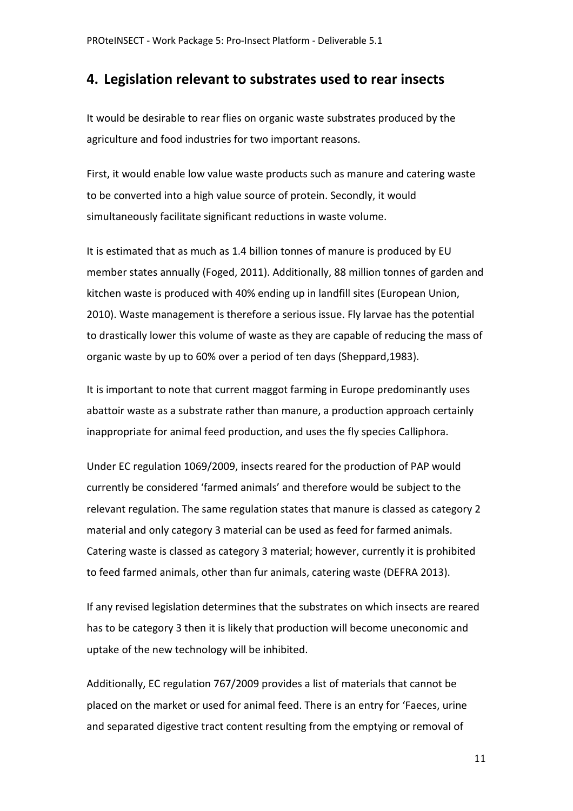### **4. Legislation relevant to substrates used to rear insects**

It would be desirable to rear flies on organic waste substrates produced by the agriculture and food industries for two important reasons.

First, it would enable low value waste products such as manure and catering waste to be converted into a high value source of protein. Secondly, it would simultaneously facilitate significant reductions in waste volume.

It is estimated that as much as 1.4 billion tonnes of manure is produced by EU member states annually (Foged, 2011). Additionally, 88 million tonnes of garden and kitchen waste is produced with 40% ending up in landfill sites (European Union, 2010). Waste management is therefore a serious issue. Fly larvae has the potential to drastically lower this volume of waste as they are capable of reducing the mass of organic waste by up to 60% over a period of ten days (Sheppard,1983).

It is important to note that current maggot farming in Europe predominantly uses abattoir waste as a substrate rather than manure, a production approach certainly inappropriate for animal feed production, and uses the fly species Calliphora.

Under EC regulation 1069/2009, insects reared for the production of PAP would currently be considered 'farmed animals' and therefore would be subject to the relevant regulation. The same regulation states that manure is classed as category 2 material and only category 3 material can be used as feed for farmed animals. Catering waste is classed as category 3 material; however, currently it is prohibited to feed farmed animals, other than fur animals, catering waste (DEFRA 2013).

If any revised legislation determines that the substrates on which insects are reared has to be category 3 then it is likely that production will become uneconomic and uptake of the new technology will be inhibited.

Additionally, EC regulation 767/2009 provides a list of materials that cannot be placed on the market or used for animal feed. There is an entry for 'Faeces, urine and separated digestive tract content resulting from the emptying or removal of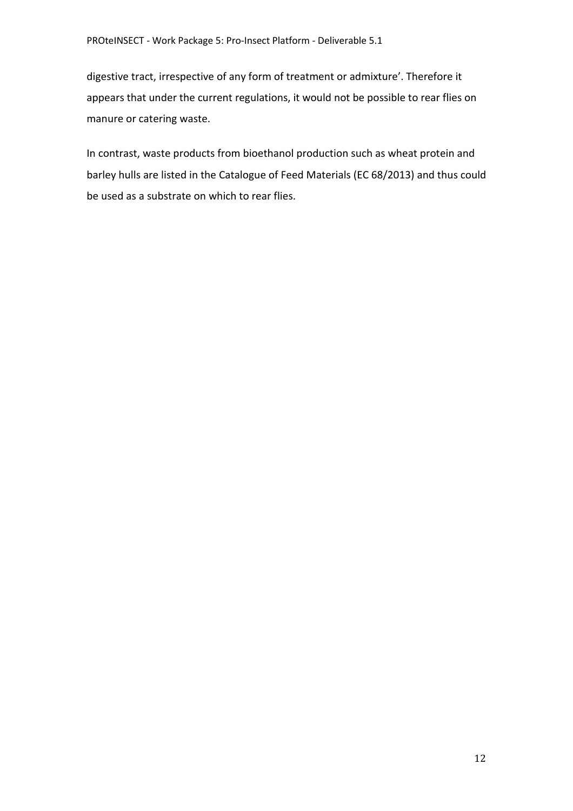digestive tract, irrespective of any form of treatment or admixture'. Therefore it appears that under the current regulations, it would not be possible to rear flies on manure or catering waste.

In contrast, waste products from bioethanol production such as wheat protein and barley hulls are listed in the Catalogue of Feed Materials (EC 68/2013) and thus could be used as a substrate on which to rear flies.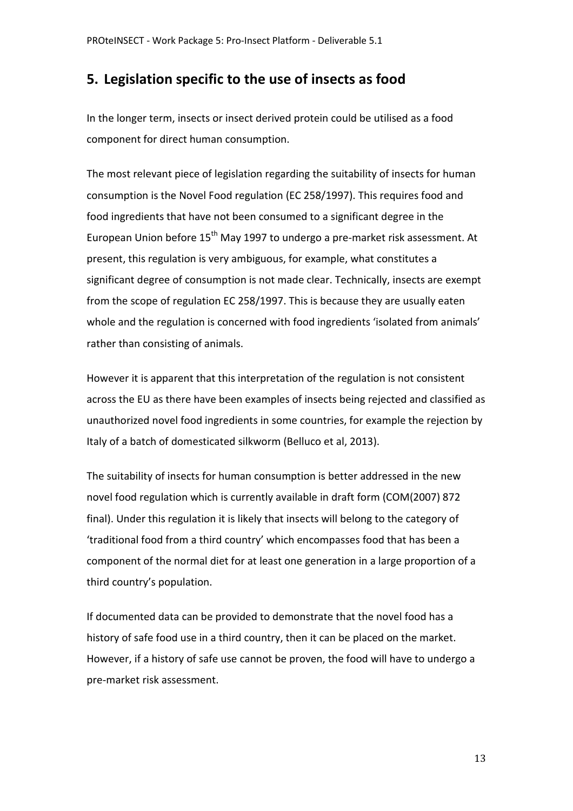### **5. Legislation specific to the use of insects as food**

In the longer term, insects or insect derived protein could be utilised as a food component for direct human consumption.

The most relevant piece of legislation regarding the suitability of insects for human consumption is the Novel Food regulation (EC 258/1997). This requires food and food ingredients that have not been consumed to a significant degree in the European Union before  $15<sup>th</sup>$  May 1997 to undergo a pre-market risk assessment. At present, this regulation is very ambiguous, for example, what constitutes a significant degree of consumption is not made clear. Technically, insects are exempt from the scope of regulation EC 258/1997. This is because they are usually eaten whole and the regulation is concerned with food ingredients 'isolated from animals' rather than consisting of animals.

However it is apparent that this interpretation of the regulation is not consistent across the EU as there have been examples of insects being rejected and classified as unauthorized novel food ingredients in some countries, for example the rejection by Italy of a batch of domesticated silkworm (Belluco et al, 2013).

The suitability of insects for human consumption is better addressed in the new novel food regulation which is currently available in draft form (COM(2007) 872 final). Under this regulation it is likely that insects will belong to the category of 'traditional food from a third country' which encompasses food that has been a component of the normal diet for at least one generation in a large proportion of a third country's population.

If documented data can be provided to demonstrate that the novel food has a history of safe food use in a third country, then it can be placed on the market. However, if a history of safe use cannot be proven, the food will have to undergo a pre-market risk assessment.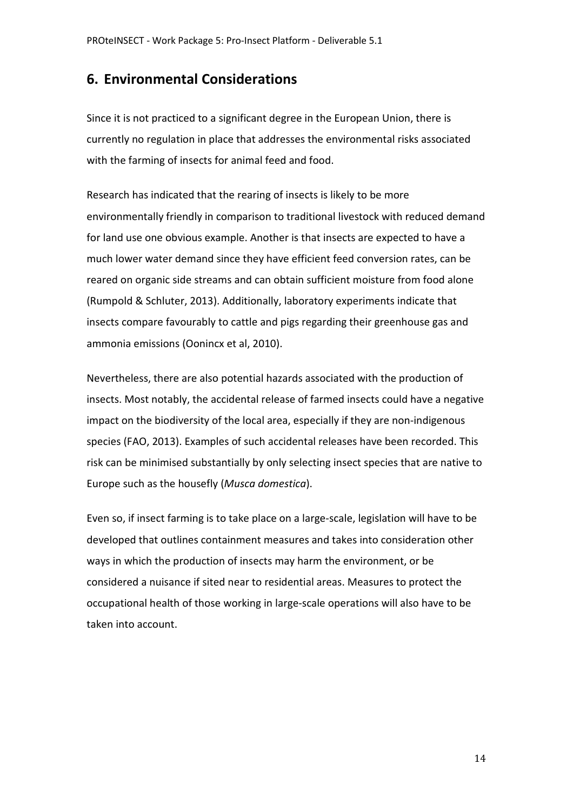### **6. Environmental Considerations**

Since it is not practiced to a significant degree in the European Union, there is currently no regulation in place that addresses the environmental risks associated with the farming of insects for animal feed and food.

Research has indicated that the rearing of insects is likely to be more environmentally friendly in comparison to traditional livestock with reduced demand for land use one obvious example. Another is that insects are expected to have a much lower water demand since they have efficient feed conversion rates, can be reared on organic side streams and can obtain sufficient moisture from food alone (Rumpold & Schluter, 2013). Additionally, laboratory experiments indicate that insects compare favourably to cattle and pigs regarding their greenhouse gas and ammonia emissions (Oonincx et al, 2010).

Nevertheless, there are also potential hazards associated with the production of insects. Most notably, the accidental release of farmed insects could have a negative impact on the biodiversity of the local area, especially if they are non-indigenous species (FAO, 2013). Examples of such accidental releases have been recorded. This risk can be minimised substantially by only selecting insect species that are native to Europe such as the housefly (*Musca domestica*).

Even so, if insect farming is to take place on a large-scale, legislation will have to be developed that outlines containment measures and takes into consideration other ways in which the production of insects may harm the environment, or be considered a nuisance if sited near to residential areas. Measures to protect the occupational health of those working in large-scale operations will also have to be taken into account.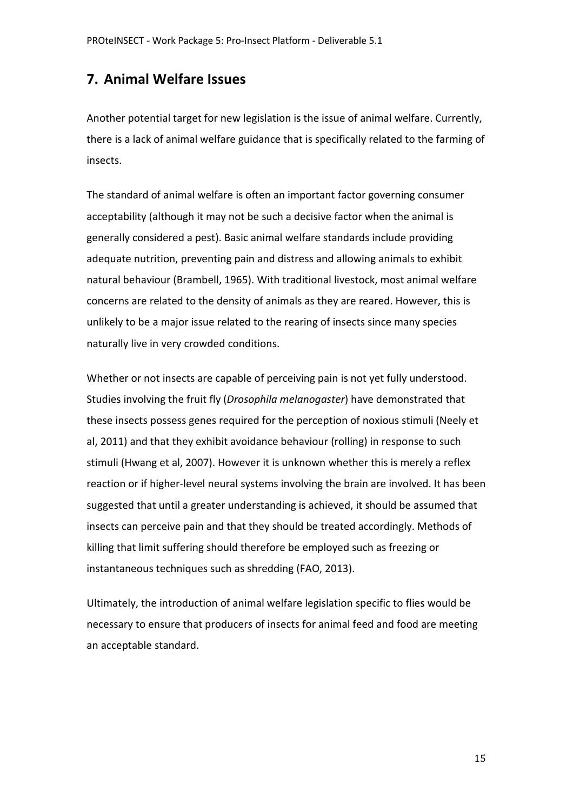# **7. Animal Welfare Issues**

Another potential target for new legislation is the issue of animal welfare. Currently, there is a lack of animal welfare guidance that is specifically related to the farming of insects.

The standard of animal welfare is often an important factor governing consumer acceptability (although it may not be such a decisive factor when the animal is generally considered a pest). Basic animal welfare standards include providing adequate nutrition, preventing pain and distress and allowing animals to exhibit natural behaviour (Brambell, 1965). With traditional livestock, most animal welfare concerns are related to the density of animals as they are reared. However, this is unlikely to be a major issue related to the rearing of insects since many species naturally live in very crowded conditions.

Whether or not insects are capable of perceiving pain is not yet fully understood. Studies involving the fruit fly (*Drosophila melanogaster*) have demonstrated that these insects possess genes required for the perception of noxious stimuli (Neely et al, 2011) and that they exhibit avoidance behaviour (rolling) in response to such stimuli (Hwang et al, 2007). However it is unknown whether this is merely a reflex reaction or if higher-level neural systems involving the brain are involved. It has been suggested that until a greater understanding is achieved, it should be assumed that insects can perceive pain and that they should be treated accordingly. Methods of killing that limit suffering should therefore be employed such as freezing or instantaneous techniques such as shredding (FAO, 2013).

Ultimately, the introduction of animal welfare legislation specific to flies would be necessary to ensure that producers of insects for animal feed and food are meeting an acceptable standard.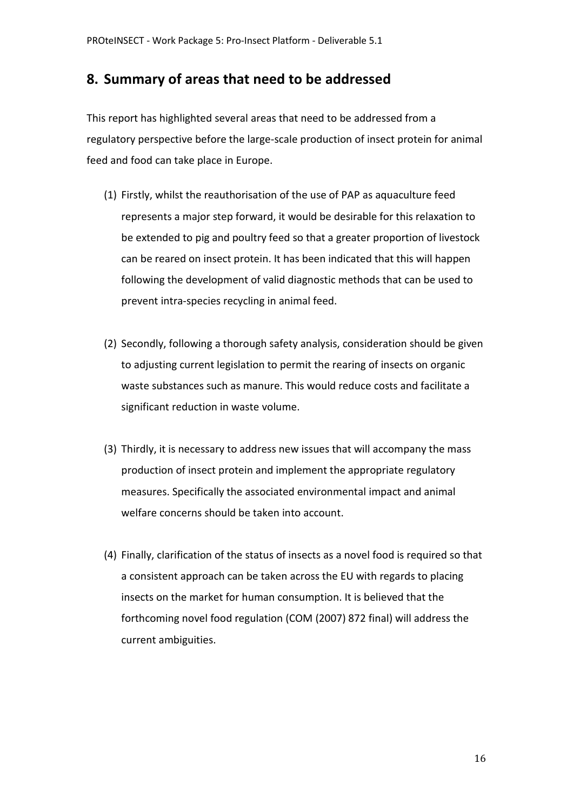### **8. Summary of areas that need to be addressed**

This report has highlighted several areas that need to be addressed from a regulatory perspective before the large-scale production of insect protein for animal feed and food can take place in Europe.

- (1) Firstly, whilst the reauthorisation of the use of PAP as aquaculture feed represents a major step forward, it would be desirable for this relaxation to be extended to pig and poultry feed so that a greater proportion of livestock can be reared on insect protein. It has been indicated that this will happen following the development of valid diagnostic methods that can be used to prevent intra-species recycling in animal feed.
- (2) Secondly, following a thorough safety analysis, consideration should be given to adjusting current legislation to permit the rearing of insects on organic waste substances such as manure. This would reduce costs and facilitate a significant reduction in waste volume.
- (3) Thirdly, it is necessary to address new issues that will accompany the mass production of insect protein and implement the appropriate regulatory measures. Specifically the associated environmental impact and animal welfare concerns should be taken into account.
- (4) Finally, clarification of the status of insects as a novel food is required so that a consistent approach can be taken across the EU with regards to placing insects on the market for human consumption. It is believed that the forthcoming novel food regulation (COM (2007) 872 final) will address the current ambiguities.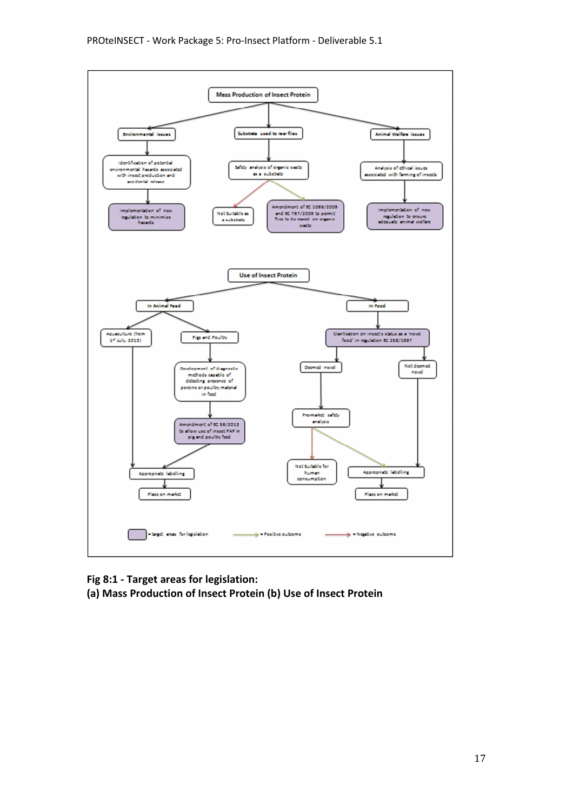

**Fig 8:1 - Target areas for legislation: (a) Mass Production of Insect Protein (b) Use of Insect Protein**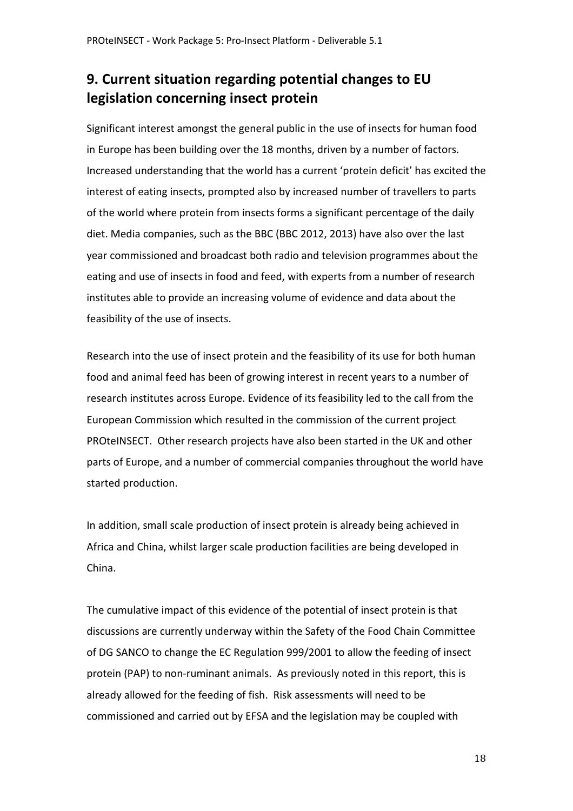# **9. Current situation regarding potential changes to EU legislation concerning insect protein**

Significant interest amongst the general public in the use of insects for human food in Europe has been building over the 18 months, driven by a number of factors. Increased understanding that the world has a current 'protein deficit' has excited the interest of eating insects, prompted also by increased number of travellers to parts of the world where protein from insects forms a significant percentage of the daily diet. Media companies, such as the BBC (BBC 2012, 2013) have also over the last year commissioned and broadcast both radio and television programmes about the eating and use of insects in food and feed, with experts from a number of research institutes able to provide an increasing volume of evidence and data about the feasibility of the use of insects.

Research into the use of insect protein and the feasibility of its use for both human food and animal feed has been of growing interest in recent years to a number of research institutes across Europe. Evidence of its feasibility led to the call from the European Commission which resulted in the commission of the current project PROteINSECT. Other research projects have also been started in the UK and other parts of Europe, and a number of commercial companies throughout the world have started production.

In addition, small scale production of insect protein is already being achieved in Africa and China, whilst larger scale production facilities are being developed in China.

The cumulative impact of this evidence of the potential of insect protein is that discussions are currently underway within the Safety of the Food Chain Committee of DG SANCO to change the EC Regulation 999/2001 to allow the feeding of insect protein (PAP) to non-ruminant animals. As previously noted in this report, this is already allowed for the feeding of fish. Risk assessments will need to be commissioned and carried out by EFSA and the legislation may be coupled with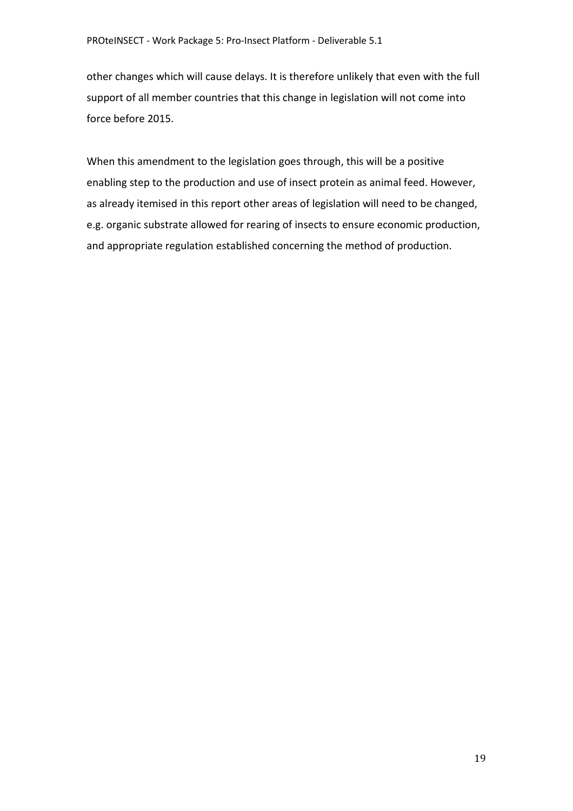other changes which will cause delays. It is therefore unlikely that even with the full support of all member countries that this change in legislation will not come into force before 2015.

When this amendment to the legislation goes through, this will be a positive enabling step to the production and use of insect protein as animal feed. However, as already itemised in this report other areas of legislation will need to be changed, e.g. organic substrate allowed for rearing of insects to ensure economic production, and appropriate regulation established concerning the method of production.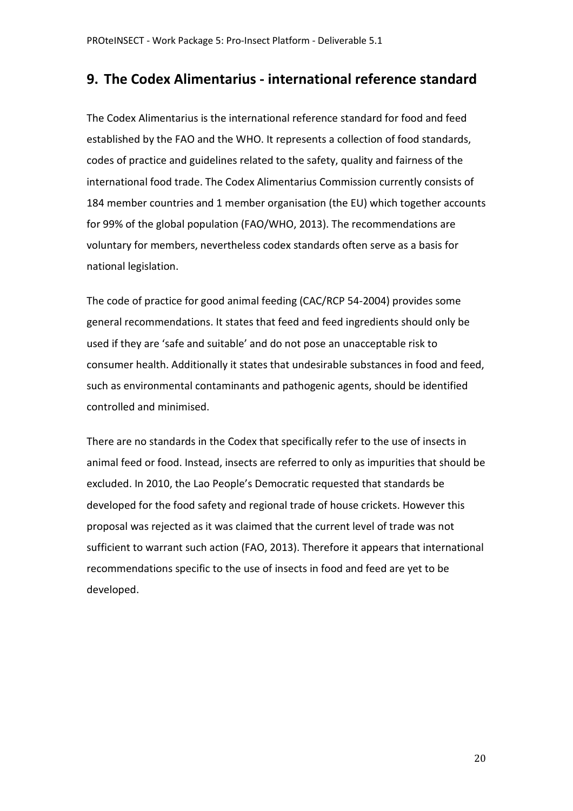### **9. The Codex Alimentarius - international reference standard**

The Codex Alimentarius is the international reference standard for food and feed established by the FAO and the WHO. It represents a collection of food standards, codes of practice and guidelines related to the safety, quality and fairness of the international food trade. The Codex Alimentarius Commission currently consists of 184 member countries and 1 member organisation (the EU) which together accounts for 99% of the global population (FAO/WHO, 2013). The recommendations are voluntary for members, nevertheless codex standards often serve as a basis for national legislation.

The code of practice for good animal feeding (CAC/RCP 54-2004) provides some general recommendations. It states that feed and feed ingredients should only be used if they are 'safe and suitable' and do not pose an unacceptable risk to consumer health. Additionally it states that undesirable substances in food and feed, such as environmental contaminants and pathogenic agents, should be identified controlled and minimised.

There are no standards in the Codex that specifically refer to the use of insects in animal feed or food. Instead, insects are referred to only as impurities that should be excluded. In 2010, the Lao People's Democratic requested that standards be developed for the food safety and regional trade of house crickets. However this proposal was rejected as it was claimed that the current level of trade was not sufficient to warrant such action (FAO, 2013). Therefore it appears that international recommendations specific to the use of insects in food and feed are yet to be developed.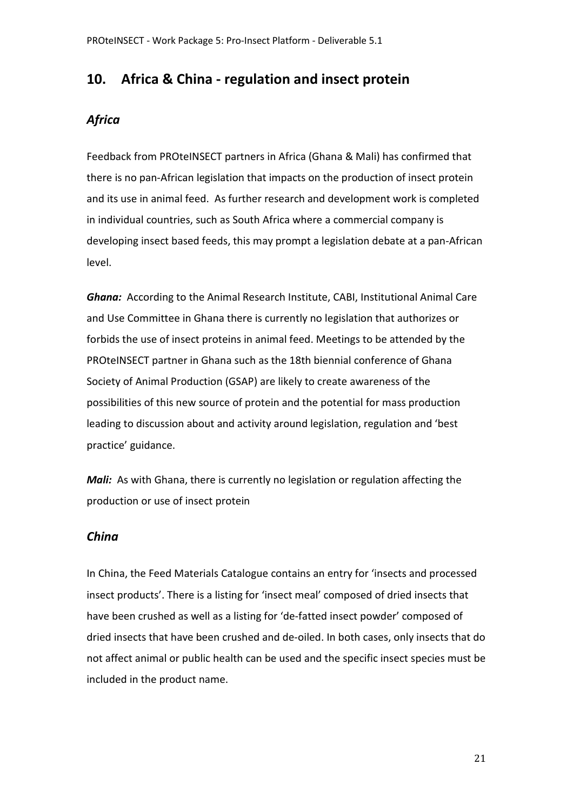### **10. Africa & China - regulation and insect protein**

### *Africa*

Feedback from PROteINSECT partners in Africa (Ghana & Mali) has confirmed that there is no pan-African legislation that impacts on the production of insect protein and its use in animal feed. As further research and development work is completed in individual countries, such as South Africa where a commercial company is developing insect based feeds, this may prompt a legislation debate at a pan-African level.

*Ghana:* According to the Animal Research Institute, CABI, Institutional Animal Care and Use Committee in Ghana there is currently no legislation that authorizes or forbids the use of insect proteins in animal feed. Meetings to be attended by the PROteINSECT partner in Ghana such as the 18th biennial conference of Ghana Society of Animal Production (GSAP) are likely to create awareness of the possibilities of this new source of protein and the potential for mass production leading to discussion about and activity around legislation, regulation and 'best practice' guidance.

*Mali:* As with Ghana, there is currently no legislation or regulation affecting the production or use of insect protein

#### *China*

In China, the Feed Materials Catalogue contains an entry for 'insects and processed insect products'. There is a listing for 'insect meal' composed of dried insects that have been crushed as well as a listing for 'de-fatted insect powder' composed of dried insects that have been crushed and de-oiled. In both cases, only insects that do not affect animal or public health can be used and the specific insect species must be included in the product name.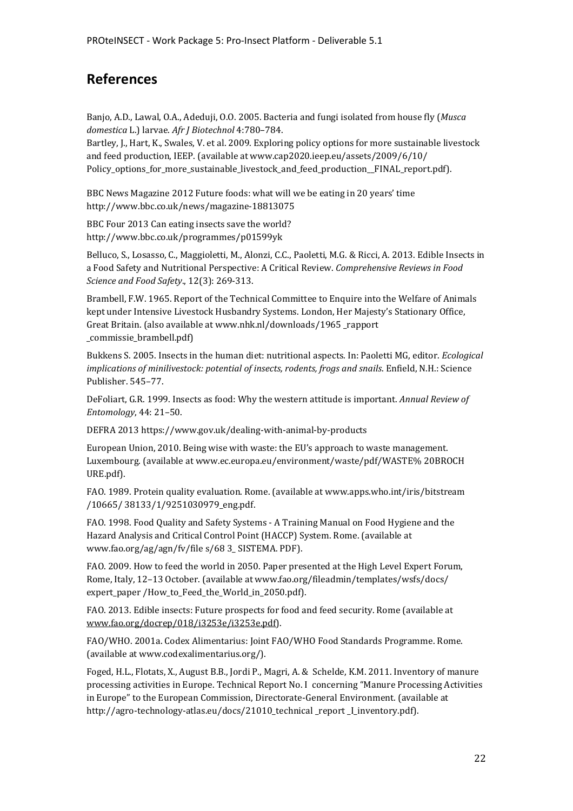## **References**

Banjo, A.D., Lawal, O.A., Adeduji, O.O. 2005. Bacteria and fungi isolated from house fly (*Musca domestica* L.) larvae. *Afr J Biotechnol* 4:780–784. Bartley, J., Hart, K., Swales, V. et al. 2009. Exploring policy options for more sustainable livestock and feed production, IEEP. (available at www.cap2020.ieep.eu/assets/2009/6/10/

Policy\_options\_for\_more\_sustainable\_livestock\_and\_feed\_production\_FINAL\_report.pdf).

BBC News Magazine 2012 Future foods: what will we be eating in 20 years' time http://www.bbc.co.uk/news/magazine-18813075

BBC Four 2013 Can eating insects save the world? http://www.bbc.co.uk/programmes/p01599yk

Belluco, S., Losasso, C., Maggioletti, M., Alonzi, C.C., Paoletti, M.G. & Ricci, A. 2013. Edible Insects in a Food Safety and Nutritional Perspective: A Critical Review. *Comprehensive Reviews in Food Science and Food Safety*., 12(3): 269-313.

Brambell, F.W. 1965. Report of the Technical Committee to Enquire into the Welfare of Animals kept under Intensive Livestock Husbandry Systems. London, Her Majesty's Stationary Office, Great Britain. (also available at www.nhk.nl/downloads/1965 \_rapport \_commissie\_brambell.pdf)

Bukkens S. 2005. Insects in the human diet: nutritional aspects. In: Paoletti MG, editor. *Ecological implications of minilivestock: potential of insects, rodents, frogs and snails*. Enfield, N.H.: Science Publisher. 545–77.

DeFoliart, G.R. 1999. Insects as food: Why the western attitude is important. *Annual Review of Entomology*, 44: 21–50.

DEFRA 2013 https://www.gov.uk/dealing-with-animal-by-products

European Union, 2010. Being wise with waste: the EU's approach to waste management. Luxembourg. (available at www.ec.europa.eu/environment/waste/pdf/WASTE% 20BROCH URE.pdf).

FAO. 1989. Protein quality evaluation. Rome. (available at www.apps.who.int/iris/bitstream /10665/ 38133/1/9251030979\_eng.pdf.

FAO. 1998. Food Quality and Safety Systems - A Training Manual on Food Hygiene and the Hazard Analysis and Critical Control Point (HACCP) System. Rome. (available at www.fao.org/ag/agn/fv/file s/68 3\_ SISTEMA. PDF).

FAO. 2009. How to feed the world in 2050. Paper presented at the High Level Expert Forum, Rome, Italy, 12–13 October. (available at www.fao.org/fileadmin/templates/wsfs/docs/ expert\_paper /How\_to\_Feed\_the\_World\_in\_2050.pdf).

FAO. 2013. Edible insects: Future prospects for food and feed security. Rome (available at www.fao.org/docrep/018/i3253e/i3253e.pdf).

FAO/WHO. 2001a. Codex Alimentarius: Joint FAO/WHO Food Standards Programme. Rome. (available at www.codexalimentarius.org/).

Foged, H.L., Flotats, X., August B.B., Jordi P., Magri, A. & Schelde, K.M. 2011. Inventory of manure processing activities in Europe. Technical Report No. I concerning "Manure Processing Activities in Europe" to the European Commission, Directorate-General Environment. (available at http://agro-technology-atlas.eu/docs/21010\_technical \_report \_I\_inventory.pdf).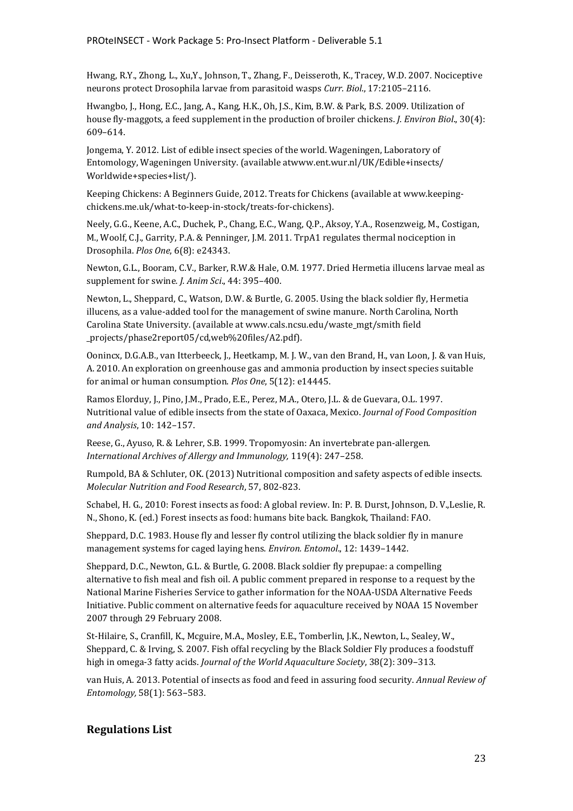Hwang, R.Y., Zhong, L., Xu,Y., Johnson, T., Zhang, F., Deisseroth, K., Tracey, W.D. 2007. Nociceptive neurons protect Drosophila larvae from parasitoid wasps *Curr. Biol*., 17:2105–2116.

Hwangbo, J., Hong, E.C., Jang, A., Kang, H.K., Oh, J.S., Kim, B.W. & Park, B.S. 2009. Utilization of house fly-maggots, a feed supplement in the production of broiler chickens. *J. Environ Biol*., 30(4): 609–614.

Jongema, Y. 2012. List of edible insect species of the world. Wageningen, Laboratory of Entomology, Wageningen University. (available atwww.ent.wur.nl/UK/Edible+insects/ Worldwide+species+list/).

Keeping Chickens: A Beginners Guide, 2012. Treats for Chickens (available at www.keepingchickens.me.uk/what-to-keep-in-stock/treats-for-chickens).

Neely, G.G., Keene, A.C., Duchek, P., Chang, E.C., Wang, Q.P., Aksoy, Y.A., Rosenzweig, M., Costigan, M., Woolf, C.J., Garrity, P.A. & Penninger, J.M. 2011. TrpA1 regulates thermal nociception in Drosophila. *Plos One*, 6(8): e24343.

Newton, G.L., Booram, C.V., Barker, R.W.& Hale, O.M. 1977. Dried Hermetia illucens larvae meal as supplement for swine*. J. Anim Sci*., 44: 395–400.

Newton, L., Sheppard, C., Watson, D.W. & Burtle, G. 2005. Using the black soldier fly, Hermetia illucens, as a value-added tool for the management of swine manure. North Carolina, North Carolina State University. (available at www.cals.ncsu.edu/waste\_mgt/smith field \_projects/phase2report05/cd,web%20files/A2.pdf).

Oonincx, D.G.A.B., van Itterbeeck, J., Heetkamp, M. J. W., van den Brand, H., van Loon, J. & van Huis, A. 2010. An exploration on greenhouse gas and ammonia production by insect species suitable for animal or human consumption. *Plos One*, 5(12): e14445.

Ramos Elorduy, J., Pino, J.M., Prado, E.E., Perez, M.A., Otero, J.L. & de Guevara, O.L. 1997. Nutritional value of edible insects from the state of Oaxaca, Mexico. *Journal of Food Composition and Analysis*, 10: 142–157.

Reese, G., Ayuso, R. & Lehrer, S.B. 1999. Tropomyosin: An invertebrate pan-allergen. *International Archives of Allergy and Immunology,* 119(4): 247–258.

Rumpold, BA & Schluter, OK. (2013) Nutritional composition and safety aspects of edible insects. *Molecular Nutrition and Food Research*, 57, 802-823.

Schabel, H. G., 2010: Forest insects as food: A global review. In: P. B. Durst, Johnson, D. V.,Leslie, R. N., Shono, K. (ed.) Forest insects as food: humans bite back. Bangkok, Thailand: FAO.

Sheppard, D.C. 1983. House fly and lesser fly control utilizing the black soldier fly in manure management systems for caged laying hens. *Environ. Entomol*., 12: 1439–1442.

Sheppard, D.C., Newton, G.L. & Burtle, G. 2008. Black soldier fly prepupae: a compelling alternative to fish meal and fish oil. A public comment prepared in response to a request by the National Marine Fisheries Service to gather information for the NOAA-USDA Alternative Feeds Initiative. Public comment on alternative feeds for aquaculture received by NOAA 15 November 2007 through 29 February 2008.

St-Hilaire, S., Cranfill, K., Mcguire, M.A., Mosley, E.E., Tomberlin, J.K., Newton, L., Sealey, W., Sheppard, C. & Irving, S. 2007. Fish offal recycling by the Black Soldier Fly produces a foodstuff high in omega-3 fatty acids. *Journal of the World Aquaculture Society*, 38(2): 309–313.

van Huis, A. 2013. Potential of insects as food and feed in assuring food security. *Annual Review of Entomology,* 58(1): 563–583.

#### **Regulations List**